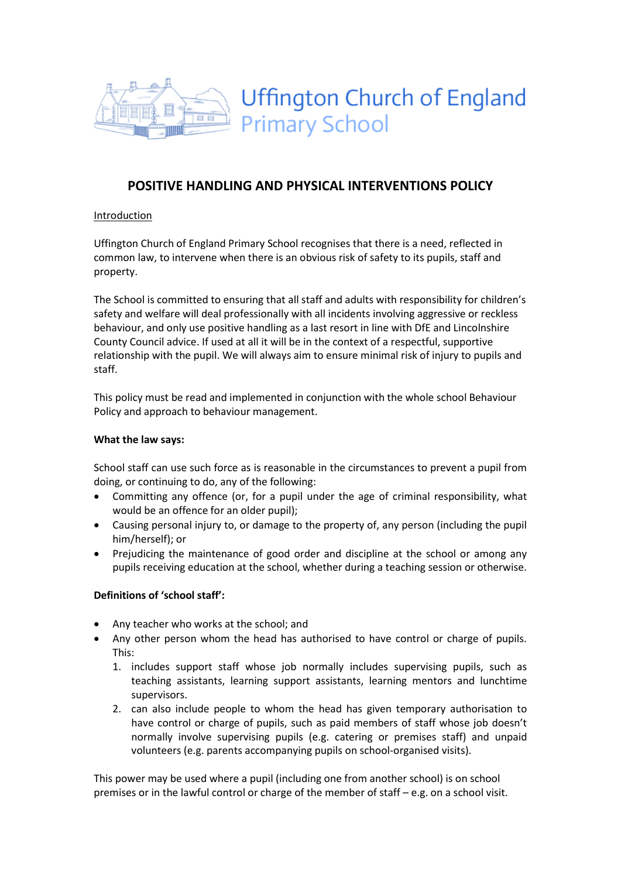

# POSITIVE HANDLING AND PHYSICAL INTERVENTIONS POLICY

# Introduction

Uffington Church of England Primary School recognises that there is a need, reflected in common law, to intervene when there is an obvious risk of safety to its pupils, staff and property.

The School is committed to ensuring that all staff and adults with responsibility for children's safety and welfare will deal professionally with all incidents involving aggressive or reckless behaviour, and only use positive handling as a last resort in line with DfE and Lincolnshire County Council advice. If used at all it will be in the context of a respectful, supportive relationship with the pupil. We will always aim to ensure minimal risk of injury to pupils and staff.

This policy must be read and implemented in conjunction with the whole school Behaviour Policy and approach to behaviour management.

## What the law says:

School staff can use such force as is reasonable in the circumstances to prevent a pupil from doing, or continuing to do, any of the following:

- Committing any offence (or, for a pupil under the age of criminal responsibility, what would be an offence for an older pupil);
- Causing personal injury to, or damage to the property of, any person (including the pupil him/herself); or
- Prejudicing the maintenance of good order and discipline at the school or among any pupils receiving education at the school, whether during a teaching session or otherwise.

# Definitions of 'school staff':

- Any teacher who works at the school; and
- Any other person whom the head has authorised to have control or charge of pupils. This:
	- 1. includes support staff whose job normally includes supervising pupils, such as teaching assistants, learning support assistants, learning mentors and lunchtime supervisors.
	- 2. can also include people to whom the head has given temporary authorisation to have control or charge of pupils, such as paid members of staff whose job doesn't normally involve supervising pupils (e.g. catering or premises staff) and unpaid volunteers (e.g. parents accompanying pupils on school-organised visits).

This power may be used where a pupil (including one from another school) is on school premises or in the lawful control or charge of the member of staff – e.g. on a school visit.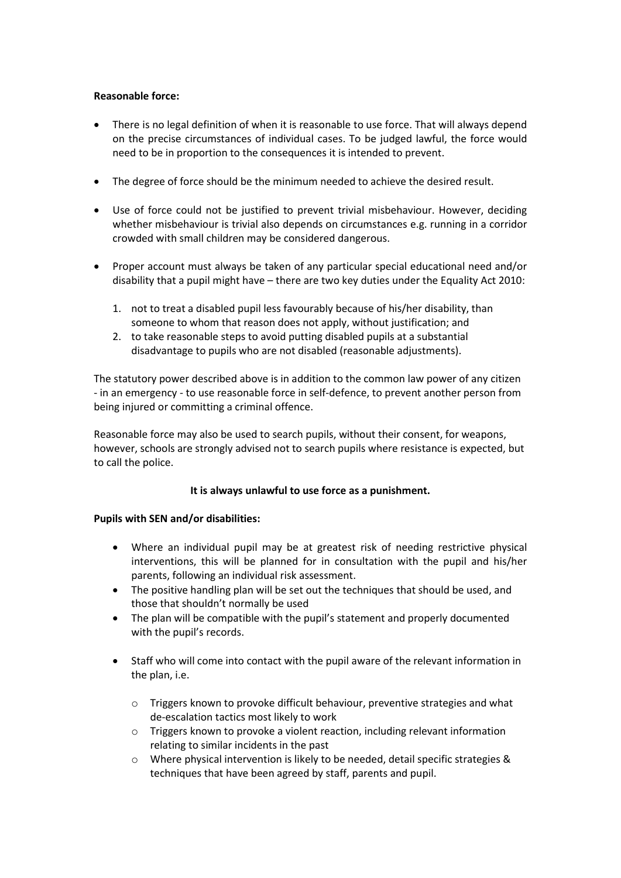## Reasonable force:

- There is no legal definition of when it is reasonable to use force. That will always depend on the precise circumstances of individual cases. To be judged lawful, the force would need to be in proportion to the consequences it is intended to prevent.
- The degree of force should be the minimum needed to achieve the desired result.
- Use of force could not be justified to prevent trivial misbehaviour. However, deciding whether misbehaviour is trivial also depends on circumstances e.g. running in a corridor crowded with small children may be considered dangerous.
- Proper account must always be taken of any particular special educational need and/or disability that a pupil might have – there are two key duties under the Equality Act 2010:
	- 1. not to treat a disabled pupil less favourably because of his/her disability, than someone to whom that reason does not apply, without justification; and
	- 2. to take reasonable steps to avoid putting disabled pupils at a substantial disadvantage to pupils who are not disabled (reasonable adjustments).

The statutory power described above is in addition to the common law power of any citizen - in an emergency - to use reasonable force in self-defence, to prevent another person from being injured or committing a criminal offence.

Reasonable force may also be used to search pupils, without their consent, for weapons, however, schools are strongly advised not to search pupils where resistance is expected, but to call the police.

#### It is always unlawful to use force as a punishment.

#### Pupils with SEN and/or disabilities:

- Where an individual pupil may be at greatest risk of needing restrictive physical interventions, this will be planned for in consultation with the pupil and his/her parents, following an individual risk assessment.
- The positive handling plan will be set out the techniques that should be used, and those that shouldn't normally be used
- The plan will be compatible with the pupil's statement and properly documented with the pupil's records.
- Staff who will come into contact with the pupil aware of the relevant information in the plan, i.e.
	- o Triggers known to provoke difficult behaviour, preventive strategies and what de-escalation tactics most likely to work
	- o Triggers known to provoke a violent reaction, including relevant information relating to similar incidents in the past
	- $\circ$  Where physical intervention is likely to be needed, detail specific strategies & techniques that have been agreed by staff, parents and pupil.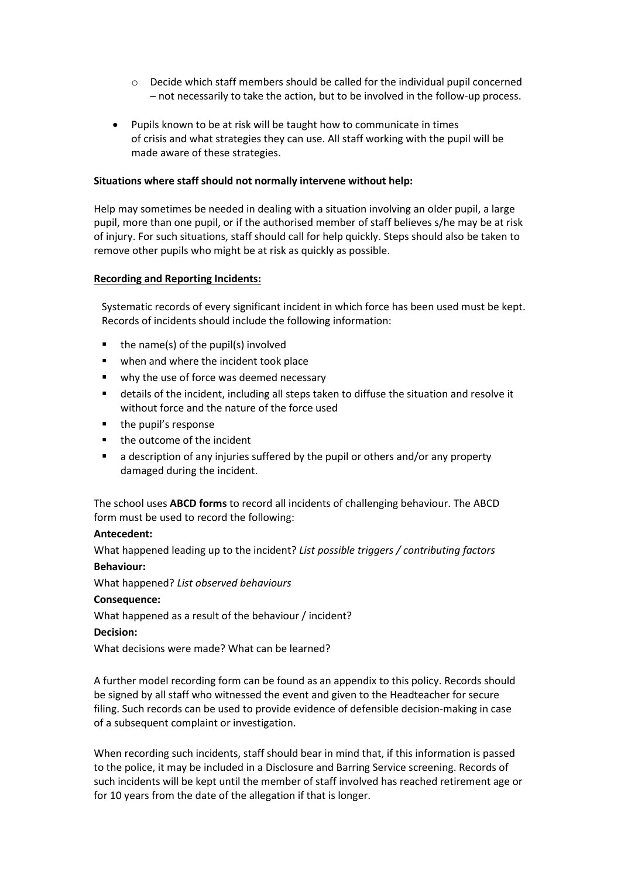- $\circ$  Decide which staff members should be called for the individual pupil concerned – not necessarily to take the action, but to be involved in the follow-up process.
- Pupils known to be at risk will be taught how to communicate in times of crisis and what strategies they can use. All staff working with the pupil will be made aware of these strategies.

#### Situations where staff should not normally intervene without help:

Help may sometimes be needed in dealing with a situation involving an older pupil, a large pupil, more than one pupil, or if the authorised member of staff believes s/he may be at risk of injury. For such situations, staff should call for help quickly. Steps should also be taken to remove other pupils who might be at risk as quickly as possible.

#### Recording and Reporting Incidents:

Systematic records of every significant incident in which force has been used must be kept. Records of incidents should include the following information:

- the name(s) of the pupil(s) involved
- **when and where the incident took place**
- why the use of force was deemed necessary
- details of the incident, including all steps taken to diffuse the situation and resolve it without force and the nature of the force used
- the pupil's response
- the outcome of the incident
- a description of any injuries suffered by the pupil or others and/or any property damaged during the incident.

The school uses ABCD forms to record all incidents of challenging behaviour. The ABCD form must be used to record the following:

#### Antecedent:

What happened leading up to the incident? List possible triggers / contributing factors Behaviour:

What happened? List observed behaviours

## Consequence:

What happened as a result of the behaviour / incident?

#### Decision:

What decisions were made? What can be learned?

A further model recording form can be found as an appendix to this policy. Records should be signed by all staff who witnessed the event and given to the Headteacher for secure filing. Such records can be used to provide evidence of defensible decision-making in case of a subsequent complaint or investigation.

When recording such incidents, staff should bear in mind that, if this information is passed to the police, it may be included in a Disclosure and Barring Service screening. Records of such incidents will be kept until the member of staff involved has reached retirement age or for 10 years from the date of the allegation if that is longer.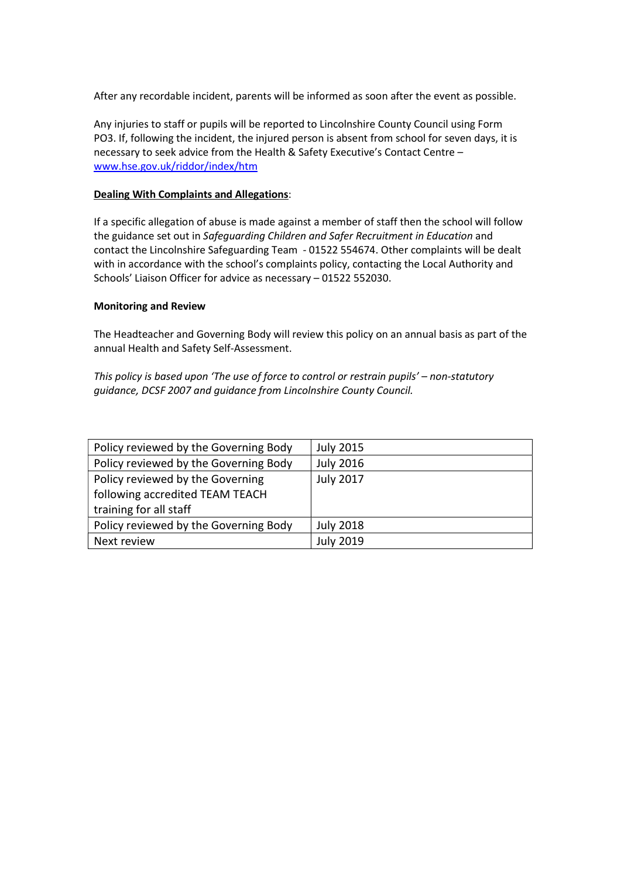After any recordable incident, parents will be informed as soon after the event as possible.

Any injuries to staff or pupils will be reported to Lincolnshire County Council using Form PO3. If, following the incident, the injured person is absent from school for seven days, it is necessary to seek advice from the Health & Safety Executive's Contact Centre – www.hse.gov.uk/riddor/index/htm

#### Dealing With Complaints and Allegations:

If a specific allegation of abuse is made against a member of staff then the school will follow the guidance set out in Safeguarding Children and Safer Recruitment in Education and contact the Lincolnshire Safeguarding Team - 01522 554674. Other complaints will be dealt with in accordance with the school's complaints policy, contacting the Local Authority and Schools' Liaison Officer for advice as necessary – 01522 552030.

#### Monitoring and Review

The Headteacher and Governing Body will review this policy on an annual basis as part of the annual Health and Safety Self-Assessment.

# This policy is based upon 'The use of force to control or restrain pupils' – non-statutory guidance, DCSF 2007 and guidance from Lincolnshire County Council.

| Policy reviewed by the Governing Body | <b>July 2015</b> |
|---------------------------------------|------------------|
| Policy reviewed by the Governing Body | <b>July 2016</b> |
| Policy reviewed by the Governing      | <b>July 2017</b> |
| following accredited TEAM TEACH       |                  |
| training for all staff                |                  |
| Policy reviewed by the Governing Body | <b>July 2018</b> |
| Next review                           | <b>July 2019</b> |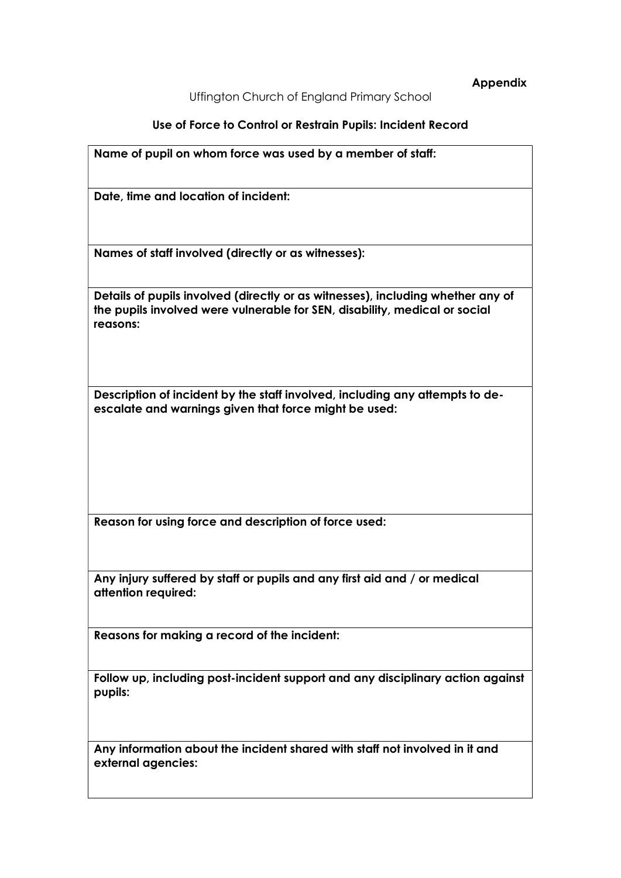Appendix

Uffington Church of England Primary School

Use of Force to Control or Restrain Pupils: Incident Record

| Name of pupil on whom force was used by a member of staff:                                                                                                                |  |
|---------------------------------------------------------------------------------------------------------------------------------------------------------------------------|--|
| Date, time and location of incident:                                                                                                                                      |  |
| Names of staff involved (directly or as witnesses):                                                                                                                       |  |
| Details of pupils involved (directly or as witnesses), including whether any of<br>the pupils involved were vulnerable for SEN, disability, medical or social<br>reasons: |  |
| Description of incident by the staff involved, including any attempts to de-<br>escalate and warnings given that force might be used:                                     |  |
| Reason for using force and description of force used:                                                                                                                     |  |
| Any injury suffered by staff or pupils and any first aid and / or medical<br>attention required:                                                                          |  |
| Reasons for making a record of the incident:                                                                                                                              |  |
| Follow up, including post-incident support and any disciplinary action against<br>pupils:                                                                                 |  |
| Any information about the incident shared with staff not involved in it and<br>external agencies:                                                                         |  |